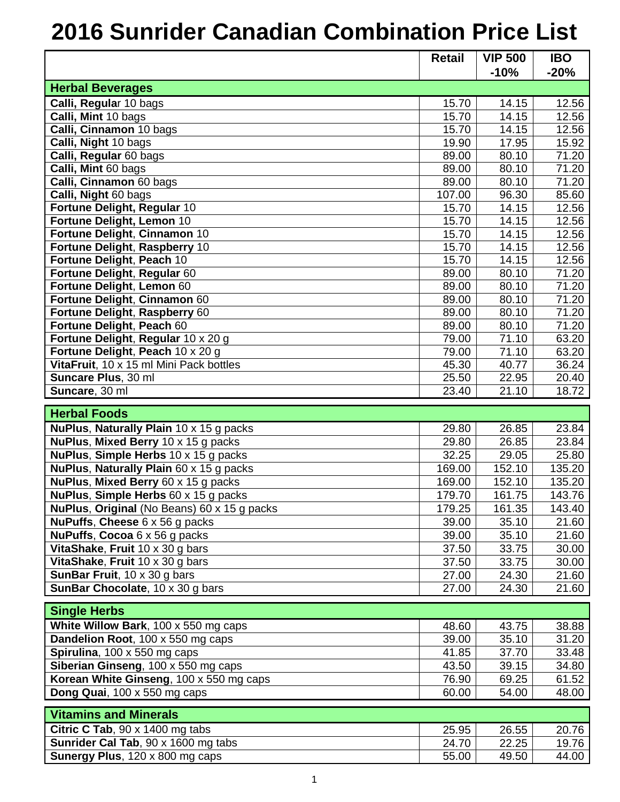## **2016 Sunrider Canadian Combination Price List**

|                                             | <b>Retail</b> | <b>VIP 500</b> | <b>IBO</b> |
|---------------------------------------------|---------------|----------------|------------|
|                                             |               | $-10%$         | $-20%$     |
| <b>Herbal Beverages</b>                     |               |                |            |
| Calli, Regular 10 bags                      | 15.70         | 14.15          | 12.56      |
| Calli, Mint 10 bags                         | 15.70         | 14.15          | 12.56      |
| Calli, Cinnamon 10 bags                     | 15.70         | 14.15          | 12.56      |
| Calli, Night 10 bags                        | 19.90         | 17.95          | 15.92      |
| Calli, Regular 60 bags                      | 89.00         | 80.10          | 71.20      |
| Calli, Mint 60 bags                         | 89.00         | 80.10          | 71.20      |
| Calli, Cinnamon 60 bags                     | 89.00         | 80.10          | 71.20      |
| Calli, Night 60 bags                        | 107.00        | 96.30          | 85.60      |
| Fortune Delight, Regular 10                 | 15.70         | 14.15          | 12.56      |
| Fortune Delight, Lemon 10                   | 15.70         | 14.15          | 12.56      |
| Fortune Delight, Cinnamon 10                | 15.70         | 14.15          | 12.56      |
| Fortune Delight, Raspberry 10               | 15.70         | 14.15          | 12.56      |
| Fortune Delight, Peach 10                   | 15.70         | 14.15          | 12.56      |
| Fortune Delight, Regular 60                 | 89.00         | 80.10          | 71.20      |
| Fortune Delight, Lemon 60                   | 89.00         | 80.10          | 71.20      |
| Fortune Delight, Cinnamon 60                | 89.00         | 80.10          | 71.20      |
| Fortune Delight, Raspberry 60               | 89.00         | 80.10          | 71.20      |
| Fortune Delight, Peach 60                   | 89.00         | 80.10          | 71.20      |
| Fortune Delight, Regular 10 x 20 g          | 79.00         | 71.10          | 63.20      |
| Fortune Delight, Peach 10 x 20 g            | 79.00         | 71.10          | 63.20      |
| VitaFruit, 10 x 15 ml Mini Pack bottles     | 45.30         | 40.77          | 36.24      |
| Suncare Plus, 30 ml                         | 25.50         | 22.95          | 20.40      |
| Suncare, 30 ml                              | 23.40         | 21.10          | 18.72      |
| <b>Herbal Foods</b>                         |               |                |            |
| NuPlus, Naturally Plain 10 x 15 g packs     | 29.80         | 26.85          | 23.84      |
| NuPlus, Mixed Berry 10 x 15 g packs         | 29.80         | 26.85          | 23.84      |
| NuPlus, Simple Herbs 10 x 15 g packs        | 32.25         | 29.05          | 25.80      |
| NuPlus, Naturally Plain 60 x 15 g packs     | 169.00        | 152.10         | 135.20     |
| NuPlus, Mixed Berry 60 x 15 g packs         | 169.00        | 152.10         | 135.20     |
| NuPlus, Simple Herbs 60 x 15 g packs        | 179.70        | 161.75         | 143.76     |
| NuPlus, Original (No Beans) 60 x 15 g packs | 179.25        | 161.35         | 143.40     |
| NuPuffs, Cheese 6 x 56 g packs              | 39.00         | 35.10          | 21.60      |
| <b>NuPuffs, Cocoa 6 x 56 g packs</b>        | 39.00         | 35.10          | 21.60      |
| VitaShake, Fruit 10 x 30 g bars             | 37.50         | 33.75          | 30.00      |
| VitaShake, Fruit 10 x 30 g bars             | 37.50         | 33.75          | 30.00      |
| SunBar Fruit, 10 x 30 g bars                | 27.00         | 24.30          | 21.60      |
| SunBar Chocolate, 10 x 30 g bars            | 27.00         | 24.30          | 21.60      |
|                                             |               |                |            |
| <b>Single Herbs</b>                         |               |                |            |
| White Willow Bark, 100 x 550 mg caps        | 48.60         | 43.75          | 38.88      |
| <b>Dandelion Root, 100 x 550 mg caps</b>    | 39.00         | 35.10          | 31.20      |
| Spirulina, 100 x 550 mg caps                | 41.85         | 37.70          | 33.48      |
| Siberian Ginseng, 100 x 550 mg caps         | 43.50         | 39.15          | 34.80      |
| Korean White Ginseng, 100 x 550 mg caps     | 76.90         | 69.25          | 61.52      |
| Dong Quai, 100 x 550 mg caps                | 60.00         | 54.00          | 48.00      |
| <b>Vitamins and Minerals</b>                |               |                |            |
| Citric C Tab, $90 \times 1400$ mg tabs      | 25.95         | 26.55          | 20.76      |
| Sunrider Cal Tab, 90 x 1600 mg tabs         | 24.70         | 22.25          | 19.76      |
| Sunergy Plus, 120 x 800 mg caps             | 55.00         | 49.50          | 44.00      |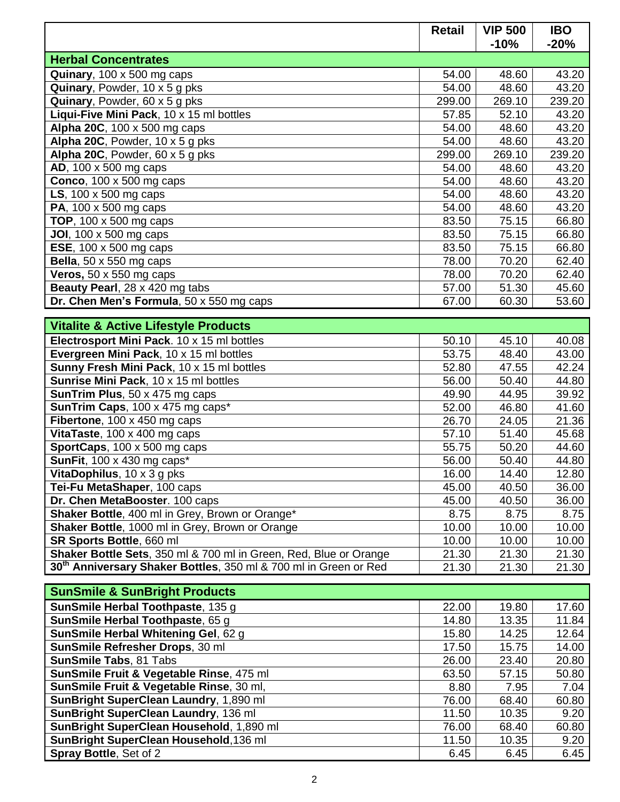|                                                                              | <b>Retail</b> | <b>VIP 500</b><br>$-10%$ | <b>IBO</b><br>$-20%$ |
|------------------------------------------------------------------------------|---------------|--------------------------|----------------------|
| <b>Herbal Concentrates</b>                                                   |               |                          |                      |
| Quinary, 100 x 500 mg caps                                                   | 54.00         | 48.60                    | 43.20                |
| Quinary, Powder, 10 x 5 g pks                                                | 54.00         | 48.60                    | 43.20                |
| Quinary, Powder, 60 x 5 g pks                                                | 299.00        | 269.10                   | 239.20               |
| Liqui-Five Mini Pack, 10 x 15 ml bottles                                     | 57.85         | 52.10                    | 43.20                |
| Alpha 20C, 100 x 500 mg caps                                                 | 54.00         | 48.60                    | 43.20                |
| Alpha 20C, Powder, 10 x 5 g pks                                              | 54.00         | 48.60                    | 43.20                |
| Alpha 20C, Powder, $60 \times 5$ g pks                                       | 299.00        | 269.10                   | 239.20               |
| AD, 100 x 500 mg caps                                                        | 54.00         | 48.60                    | 43.20                |
| Conco, $100 \times 500$ mg caps                                              | 54.00         | 48.60                    | 43.20                |
| LS, $100 \times 500$ mg caps                                                 | 54.00         | 48.60                    | 43.20                |
| <b>PA, 100 x 500 mg caps</b>                                                 | 54.00         | 48.60                    | 43.20                |
| <b>TOP, 100 x 500 mg caps</b>                                                | 83.50         | 75.15                    | 66.80                |
| <b>JOI</b> , 100 x 500 mg caps                                               | 83.50         | 75.15                    | 66.80                |
| $\overline{\text{ESE}}$ , 100 x 500 mg caps                                  | 83.50         | 75.15                    | 66.80                |
| Bella, $50 \times 550$ mg caps                                               | 78.00         | 70.20                    | 62.40                |
| Veros, $50 \times 550$ mg caps                                               | 78.00         | 70.20                    | 62.40                |
| Beauty Pearl, 28 x 420 mg tabs                                               | 57.00         | 51.30                    | 45.60                |
| Dr. Chen Men's Formula, 50 x 550 mg caps                                     | 67.00         | 60.30                    | 53.60                |
| <b>Vitalite &amp; Active Lifestyle Products</b>                              |               |                          |                      |
| Electrosport Mini Pack. 10 x 15 ml bottles                                   | 50.10         | 45.10                    | 40.08                |
| Evergreen Mini Pack, 10 x 15 ml bottles                                      | 53.75         | 48.40                    | 43.00                |
| Sunny Fresh Mini Pack, 10 x 15 ml bottles                                    | 52.80         | 47.55                    | 42.24                |
| Sunrise Mini Pack, 10 x 15 ml bottles                                        | 56.00         | 50.40                    | 44.80                |
| <b>SunTrim Plus, 50 x 475 mg caps</b>                                        | 49.90         | 44.95                    | 39.92                |
| SunTrim Caps, 100 x 475 mg caps*                                             | 52.00         | 46.80                    | 41.60                |
| Fibertone, 100 x 450 mg caps                                                 | 26.70         | 24.05                    | 21.36                |
| VitaTaste, 100 x 400 mg caps                                                 | 57.10         | 51.40                    | 45.68                |
| SportCaps, 100 x 500 mg caps                                                 | 55.75         | 50.20                    | 44.60                |
| <b>SunFit, 100 x 430 mg caps*</b>                                            | 56.00         | 50.40                    | 44.80                |
| VitaDophilus, 10 x 3 g pks                                                   | 16.00         | 14.40                    | 12.80                |
| Tei-Fu MetaShaper, 100 caps                                                  | 45.00         | 40.50                    | 36.00                |
| Dr. Chen MetaBooster. 100 caps                                               | 45.00         | 40.50                    | 36.00                |
| Shaker Bottle, 400 ml in Grey, Brown or Orange*                              | 8.75          | 8.75                     | 8.75                 |
| Shaker Bottle, 1000 ml in Grey, Brown or Orange                              | 10.00         | 10.00                    | 10.00                |
| SR Sports Bottle, 660 ml                                                     | 10.00         | 10.00                    | 10.00                |
| Shaker Bottle Sets, 350 ml & 700 ml in Green, Red, Blue or Orange            | 21.30         | 21.30                    | 21.30                |
| 30 <sup>th</sup> Anniversary Shaker Bottles, 350 ml & 700 ml in Green or Red | 21.30         | 21.30                    | 21.30                |
|                                                                              |               |                          |                      |
| <b>SunSmile &amp; SunBright Products</b>                                     |               |                          |                      |
| SunSmile Herbal Toothpaste, 135 g                                            | 22.00         | 19.80                    | 17.60                |

| SunSmile Herbal Toothpaste, 135 g        | 22.00 | 19.80 | 17.60 |
|------------------------------------------|-------|-------|-------|
| SunSmile Herbal Toothpaste, 65 g         | 14.80 | 13.35 | 11.84 |
| SunSmile Herbal Whitening Gel, 62 g      | 15.80 | 14.25 | 12.64 |
| SunSmile Refresher Drops, 30 ml          | 17.50 | 15.75 | 14.00 |
| <b>SunSmile Tabs, 81 Tabs</b>            | 26.00 | 23.40 | 20.80 |
| SunSmile Fruit & Vegetable Rinse, 475 ml | 63.50 | 57.15 | 50.80 |
| SunSmile Fruit & Vegetable Rinse, 30 ml, | 8.80  | 7.95  | 7.04  |
| SunBright SuperClean Laundry, 1,890 ml   | 76.00 | 68.40 | 60.80 |
| SunBright SuperClean Laundry, 136 ml     | 11.50 | 10.35 | 9.20  |
| SunBright SuperClean Household, 1,890 ml | 76.00 | 68.40 | 60.80 |
| SunBright SuperClean Household, 136 ml   | 11.50 | 10.35 | 9.20  |
| <b>Spray Bottle, Set of 2</b>            | 6.45  | 6.45  | 6.45  |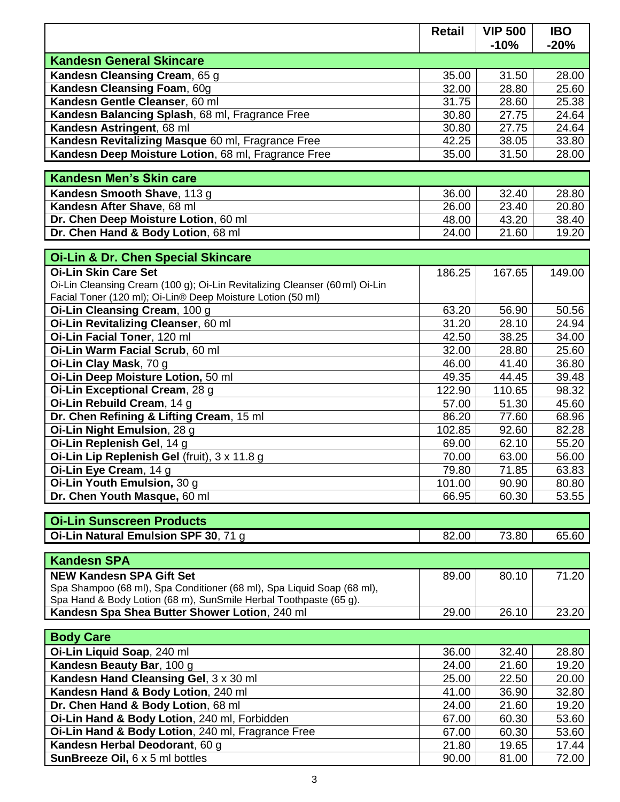|                                                                             | <b>Retail</b> | <b>VIP 500</b> | <b>IBO</b> |
|-----------------------------------------------------------------------------|---------------|----------------|------------|
|                                                                             |               | $-10%$         | $-20%$     |
| <b>Kandesn General Skincare</b>                                             |               |                |            |
| Kandesn Cleansing Cream, 65 g                                               | 35.00         | 31.50          | 28.00      |
| Kandesn Cleansing Foam, 60g                                                 | 32.00         | 28.80          | 25.60      |
| Kandesn Gentle Cleanser, 60 ml                                              | 31.75         | 28.60          | 25.38      |
| Kandesn Balancing Splash, 68 ml, Fragrance Free                             | 30.80         | 27.75          | 24.64      |
| Kandesn Astringent, 68 ml                                                   | 30.80         | 27.75          | 24.64      |
| Kandesn Revitalizing Masque 60 ml, Fragrance Free                           | 42.25         | 38.05          | 33.80      |
| Kandesn Deep Moisture Lotion, 68 ml, Fragrance Free                         | 35.00         | 31.50          | 28.00      |
| <b>Kandesn Men's Skin care</b>                                              |               |                |            |
|                                                                             |               |                |            |
| Kandesn Smooth Shave, 113 g                                                 | 36.00         | 32.40          | 28.80      |
| Kandesn After Shave, 68 ml                                                  | 26.00         | 23.40          | 20.80      |
| Dr. Chen Deep Moisture Lotion, 60 ml                                        | 48.00         | 43.20          | 38.40      |
| Dr. Chen Hand & Body Lotion, 68 ml                                          | 24.00         | 21.60          | 19.20      |
| <b>Oi-Lin &amp; Dr. Chen Special Skincare</b>                               |               |                |            |
| <b>Oi-Lin Skin Care Set</b>                                                 | 186.25        | 167.65         | 149.00     |
| Oi-Lin Cleansing Cream (100 g); Oi-Lin Revitalizing Cleanser (60 ml) Oi-Lin |               |                |            |
| Facial Toner (120 ml); Oi-Lin® Deep Moisture Lotion (50 ml)                 |               |                |            |
| Oi-Lin Cleansing Cream, 100 g                                               | 63.20         | 56.90          | 50.56      |
| Oi-Lin Revitalizing Cleanser, 60 ml                                         | 31.20         | 28.10          | 24.94      |
| Oi-Lin Facial Toner, 120 ml                                                 | 42.50         | 38.25          | 34.00      |
| Oi-Lin Warm Facial Scrub, 60 ml                                             | 32.00         | 28.80          | 25.60      |
| Oi-Lin Clay Mask, 70 g                                                      | 46.00         | 41.40          | 36.80      |
| Oi-Lin Deep Moisture Lotion, 50 ml                                          | 49.35         | 44.45          | 39.48      |
| Oi-Lin Exceptional Cream, 28 g                                              | 122.90        | 110.65         | 98.32      |
| Oi-Lin Rebuild Cream, 14 g                                                  | 57.00         | 51.30          | 45.60      |
| Dr. Chen Refining & Lifting Cream, 15 ml                                    | 86.20         | 77.60          | 68.96      |
| Oi-Lin Night Emulsion, 28 g                                                 | 102.85        | 92.60          | 82.28      |
| Oi-Lin Replenish Gel, 14 g                                                  | 69.00         | 62.10          | 55.20      |
| Oi-Lin Lip Replenish Gel (fruit), 3 x 11.8 g                                | 70.00         | 63.00          | 56.00      |
| Oi-Lin Eye Cream, 14 g                                                      | 79.80         | 71.85          | 63.83      |
| Oi-Lin Youth Emulsion, 30 g                                                 | 101.00        | 90.90          | 80.80      |
| Dr. Chen Youth Masque, 60 ml                                                | 66.95         | 60.30          | 53.55      |
|                                                                             |               |                |            |
| <b>Oi-Lin Sunscreen Products</b>                                            |               |                |            |
| Oi-Lin Natural Emulsion SPF 30, 71 g                                        | 82.00         | 73.80          | 65.60      |
| <b>Kandesn SPA</b>                                                          |               |                |            |
| <b>NEW Kandesn SPA Gift Set</b>                                             | 89.00         | 80.10          | 71.20      |
| Spa Shampoo (68 ml), Spa Conditioner (68 ml), Spa Liquid Soap (68 ml),      |               |                |            |
| Spa Hand & Body Lotion (68 m), SunSmile Herbal Toothpaste (65 g).           |               |                |            |
| Kandesn Spa Shea Butter Shower Lotion, 240 ml                               | 29.00         | 26.10          | 23.20      |
|                                                                             |               |                |            |
| <b>Body Care</b>                                                            |               |                |            |
| Oi-Lin Liquid Soap, 240 ml                                                  | 36.00         | 32.40          | 28.80      |
| Kandesn Beauty Bar, 100 g                                                   | 24.00         | 21.60          | 19.20      |
| Kandesn Hand Cleansing Gel, 3 x 30 ml                                       | 25.00         | 22.50          | 20.00      |
| Kandesn Hand & Body Lotion, 240 ml                                          | 41.00         | 36.90          | 32.80      |
| Dr. Chen Hand & Body Lotion, 68 ml                                          | 24.00         | 21.60          | 19.20      |
| Oi-Lin Hand & Body Lotion, 240 ml, Forbidden                                | 67.00         | 60.30          | 53.60      |
| Oi-Lin Hand & Body Lotion, 240 ml, Fragrance Free                           | 67.00         | 60.30          | 53.60      |
| Kandesn Herbal Deodorant, 60 g                                              | 21.80         | 19.65          | 17.44      |
| SunBreeze Oil, 6 x 5 ml bottles                                             | 90.00         | 81.00          | 72.00      |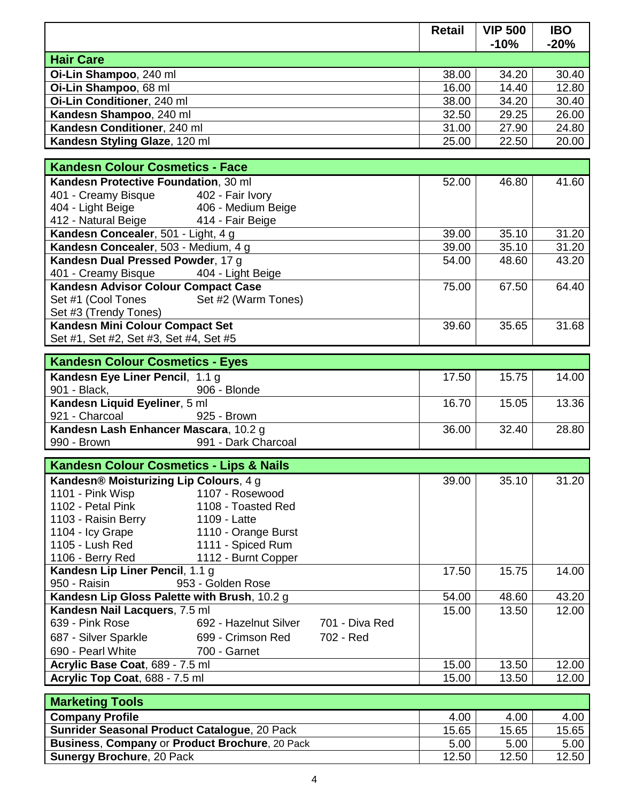|                                                                 | <b>Retail</b> | <b>VIP 500</b><br>$-10%$ | <b>IBO</b><br>$-20%$ |
|-----------------------------------------------------------------|---------------|--------------------------|----------------------|
| <b>Hair Care</b>                                                |               |                          |                      |
| Oi-Lin Shampoo, 240 ml                                          | 38.00         | 34.20                    | 30.40                |
| Oi-Lin Shampoo, 68 ml                                           | 16.00         | 14.40                    | 12.80                |
| Oi-Lin Conditioner, 240 ml                                      | 38.00         | 34.20                    | 30.40                |
| Kandesn Shampoo, 240 ml                                         | 32.50         | 29.25                    | 26.00                |
| Kandesn Conditioner, 240 ml                                     | 31.00         | 27.90                    | 24.80                |
| Kandesn Styling Glaze, 120 ml                                   | 25.00         | 22.50                    | 20.00                |
|                                                                 |               |                          |                      |
| <b>Kandesn Colour Cosmetics - Face</b>                          |               |                          |                      |
| Kandesn Protective Foundation, 30 ml                            | 52.00         | 46.80                    | 41.60                |
| 401 - Creamy Bisque 402 - Fair Ivory                            |               |                          |                      |
| 404 - Light Beige<br>406 - Medium Beige                         |               |                          |                      |
| 412 - Natural Beige<br>414 - Fair Beige                         |               |                          |                      |
| Kandesn Concealer, 501 - Light, 4 g                             | 39.00         | 35.10                    | 31.20                |
| Kandesn Concealer, 503 - Medium, 4 g                            | 39.00         | 35.10                    | 31.20                |
| Kandesn Dual Pressed Powder, 17 g                               | 54.00         | 48.60                    | 43.20                |
| 401 - Creamy Bisque<br>404 - Light Beige                        |               |                          |                      |
| Kandesn Advisor Colour Compact Case                             | 75.00         | 67.50                    | 64.40                |
| Set #1 (Cool Tones<br>Set #2 (Warm Tones)                       |               |                          |                      |
| Set #3 (Trendy Tones)                                           |               |                          |                      |
| Kandesn Mini Colour Compact Set                                 | 39.60         | 35.65                    | 31.68                |
| Set #1, Set #2, Set #3, Set #4, Set #5                          |               |                          |                      |
| <b>Kandesn Colour Cosmetics - Eyes</b>                          |               |                          |                      |
|                                                                 | 17.50         | 15.75                    | 14.00                |
| Kandesn Eye Liner Pencil, 1.1 g<br>901 - Black,<br>906 - Blonde |               |                          |                      |
| Kandesn Liquid Eyeliner, 5 ml                                   | 16.70         | 15.05                    | 13.36                |
| 921 - Charcoal<br>925 - Brown                                   |               |                          |                      |
| Kandesn Lash Enhancer Mascara, 10.2 g                           | 36.00         | 32.40                    | 28.80                |
| 990 - Brown<br>991 - Dark Charcoal                              |               |                          |                      |
|                                                                 |               |                          |                      |
| <b>Kandesn Colour Cosmetics - Lips &amp; Nails</b>              |               |                          |                      |
| Kandesn® Moisturizing Lip Colours, 4 g                          | 39.00         | 35.10                    | 31.20                |
| 1107 - Rosewood<br>1101 - Pink Wisp                             |               |                          |                      |
| 1102 - Petal Pink<br>1108 - Toasted Red                         |               |                          |                      |
| 1103 - Raisin Berry<br>1109 - Latte                             |               |                          |                      |
| 1104 - Icy Grape<br>1110 - Orange Burst                         |               |                          |                      |
| 1105 - Lush Red<br>1111 - Spiced Rum                            |               |                          |                      |
| 1106 - Berry Red<br>1112 - Burnt Copper                         |               |                          |                      |
| Kandesn Lip Liner Pencil, 1.1 g                                 | 17.50         | 15.75                    | 14.00                |
| 950 - Raisin<br>953 - Golden Rose                               |               |                          |                      |
| Kandesn Lip Gloss Palette with Brush, 10.2 g                    | 54.00         | 48.60                    | 43.20                |
| Kandesn Nail Lacquers, 7.5 ml                                   | 15.00         | 13.50                    | 12.00                |
| 639 - Pink Rose<br>692 - Hazelnut Silver<br>701 - Diva Red      |               |                          |                      |
| 687 - Silver Sparkle<br>699 - Crimson Red<br>702 - Red          |               |                          |                      |
| 690 - Pearl White<br>700 - Garnet                               |               |                          |                      |
| Acrylic Base Coat, 689 - 7.5 ml                                 | 15.00         | 13.50                    | 12.00                |
| Acrylic Top Coat, 688 - 7.5 ml                                  | 15.00         | 13.50                    | 12.00                |
| <b>Marketing Tools</b>                                          |               |                          |                      |

| <b>MARTION I</b>                                      |       |       |       |
|-------------------------------------------------------|-------|-------|-------|
| <b>Company Profile</b>                                | 4.00  | 4.00  | 4.00  |
| <b>Sunrider Seasonal Product Catalogue, 20 Pack</b>   | 15.65 | 15.65 | 15.65 |
| <b>Business, Company or Product Brochure, 20 Pack</b> | 5.00  | 5.00  | 5.00  |
| <b>Sunergy Brochure, 20 Pack</b>                      | 12.50 | 12.50 | 12.50 |